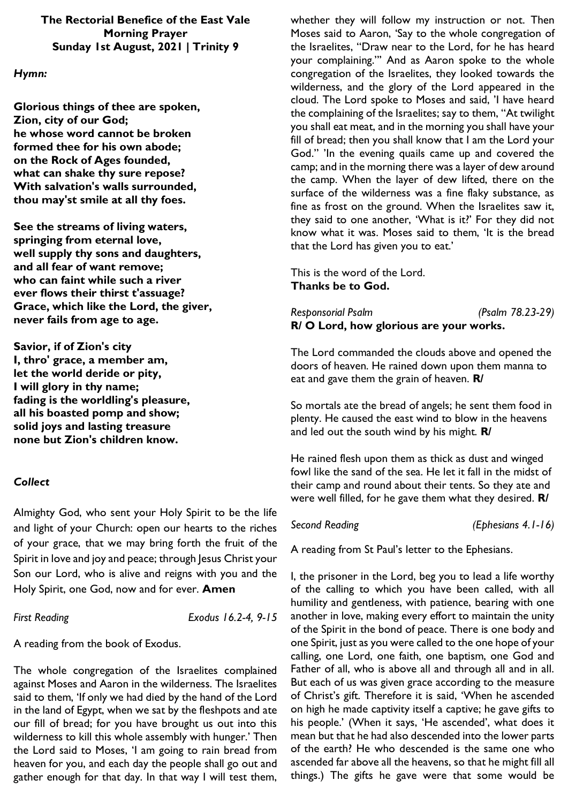### **The Rectorial Benefice of the East Vale Morning Prayer Sunday 1st August, 2021 | Trinity 9**

## *Hymn:*

**Glorious things of thee are spoken, Zion, city of our God; he whose word cannot be broken formed thee for his own abode; on the Rock of Ages founded, what can shake thy sure repose? With salvation's walls surrounded, thou may'st smile at all thy foes.**

**See the streams of living waters, springing from eternal love, well supply thy sons and daughters, and all fear of want remove; who can faint while such a river ever flows their thirst t'assuage? Grace, which like the Lord, the giver, never fails from age to age.**

**Savior, if of Zion's city I, thro' grace, a member am, let the world deride or pity, I will glory in thy name; fading is the worldling's pleasure, all his boasted pomp and show; solid joys and lasting treasure none but Zion's children know.**

# *Collect*

Almighty God, who sent your Holy Spirit to be the life and light of your Church: open our hearts to the riches of your grace, that we may bring forth the fruit of the Spirit in love and joy and peace; through Jesus Christ your Son our Lord, who is alive and reigns with you and the Holy Spirit, one God, now and for ever. **Amen**

*First Reading Exodus 16.2-4, 9-15*

A reading from the book of Exodus.

The whole congregation of the Israelites complained against Moses and Aaron in the wilderness. The Israelites said to them, 'If only we had died by the hand of the Lord in the land of Egypt, when we sat by the fleshpots and ate our fill of bread; for you have brought us out into this wilderness to kill this whole assembly with hunger.' Then the Lord said to Moses, 'I am going to rain bread from heaven for you, and each day the people shall go out and gather enough for that day. In that way I will test them,

whether they will follow my instruction or not. Then Moses said to Aaron, 'Say to the whole congregation of the Israelites, "Draw near to the Lord, for he has heard your complaining."' And as Aaron spoke to the whole congregation of the Israelites, they looked towards the wilderness, and the glory of the Lord appeared in the cloud. The Lord spoke to Moses and said, 'I have heard the complaining of the Israelites; say to them, "At twilight you shall eat meat, and in the morning you shall have your fill of bread; then you shall know that I am the Lord your God." 'In the evening quails came up and covered the camp; and in the morning there was a layer of dew around the camp. When the layer of dew lifted, there on the surface of the wilderness was a fine flaky substance, as fine as frost on the ground. When the Israelites saw it, they said to one another, 'What is it?' For they did not know what it was. Moses said to them, 'It is the bread that the Lord has given you to eat.'

This is the word of the Lord. **Thanks be to God.**

*Responsorial Psalm (Psalm 78.23-29)* **R/ O Lord, how glorious are your works.**

The Lord commanded the clouds above and opened the doors of heaven. He rained down upon them manna to eat and gave them the grain of heaven. **R/**

So mortals ate the bread of angels; he sent them food in plenty. He caused the east wind to blow in the heavens and led out the south wind by his might. **R/**

He rained flesh upon them as thick as dust and winged fowl like the sand of the sea. He let it fall in the midst of their camp and round about their tents. So they ate and were well filled, for he gave them what they desired. **R/**

*Second Reading (Ephesians 4.1-16)*

A reading from St Paul's letter to the Ephesians.

I, the prisoner in the Lord, beg you to lead a life worthy of the calling to which you have been called, with all humility and gentleness, with patience, bearing with one another in love, making every effort to maintain the unity of the Spirit in the bond of peace. There is one body and one Spirit, just as you were called to the one hope of your calling, one Lord, one faith, one baptism, one God and Father of all, who is above all and through all and in all. But each of us was given grace according to the measure of Christ's gift. Therefore it is said, 'When he ascended on high he made captivity itself a captive; he gave gifts to his people.' (When it says, 'He ascended', what does it mean but that he had also descended into the lower parts of the earth? He who descended is the same one who ascended far above all the heavens, so that he might fill all things.) The gifts he gave were that some would be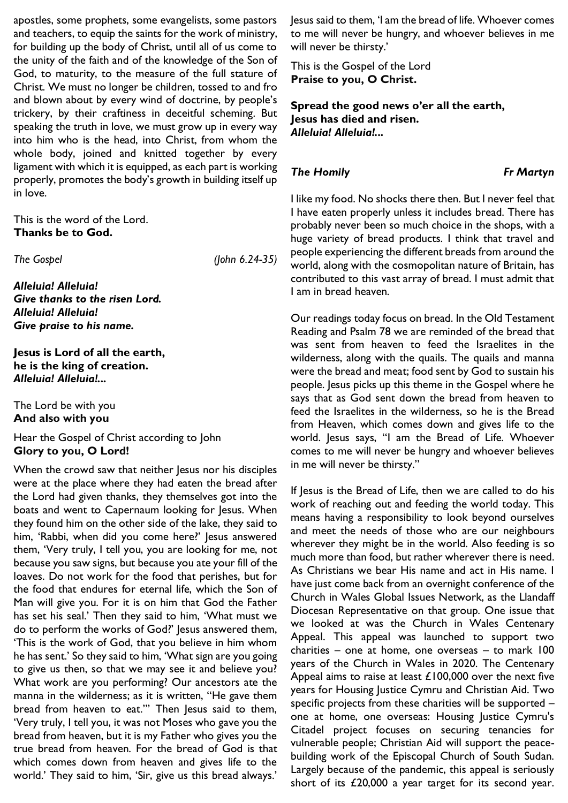apostles, some prophets, some evangelists, some pastors and teachers, to equip the saints for the work of ministry, for building up the body of Christ, until all of us come to the unity of the faith and of the knowledge of the Son of God, to maturity, to the measure of the full stature of Christ. We must no longer be children, tossed to and fro and blown about by every wind of doctrine, by people's trickery, by their craftiness in deceitful scheming. But speaking the truth in love, we must grow up in every way into him who is the head, into Christ, from whom the whole body, joined and knitted together by every ligament with which it is equipped, as each part is working properly, promotes the body's growth in building itself up in love.

This is the word of the Lord. **Thanks be to God.**

*The Gospel (John 6.24-35)*

*Alleluia! Alleluia! Give thanks to the risen Lord. Alleluia! Alleluia! Give praise to his name.*

**Jesus is Lord of all the earth, he is the king of creation.**  *Alleluia! Alleluia!...* 

The Lord be with you **And also with you**

Hear the Gospel of Christ according to John **Glory to you, O Lord!**

When the crowd saw that neither Jesus nor his disciples were at the place where they had eaten the bread after the Lord had given thanks, they themselves got into the boats and went to Capernaum looking for Jesus. When they found him on the other side of the lake, they said to him, 'Rabbi, when did you come here?' Jesus answered them, 'Very truly, I tell you, you are looking for me, not because you saw signs, but because you ate your fill of the loaves. Do not work for the food that perishes, but for the food that endures for eternal life, which the Son of Man will give you. For it is on him that God the Father has set his seal.' Then they said to him, 'What must we do to perform the works of God?' Jesus answered them, 'This is the work of God, that you believe in him whom he has sent.' So they said to him, 'What sign are you going to give us then, so that we may see it and believe you? What work are you performing? Our ancestors ate the manna in the wilderness; as it is written, "He gave them bread from heaven to eat."' Then Jesus said to them, 'Very truly, I tell you, it was not Moses who gave you the bread from heaven, but it is my Father who gives you the true bread from heaven. For the bread of God is that which comes down from heaven and gives life to the world.' They said to him, 'Sir, give us this bread always.'

Jesus said to them, 'I am the bread of life. Whoever comes to me will never be hungry, and whoever believes in me will never be thirsty.'

This is the Gospel of the Lord **Praise to you, O Christ.**

**Spread the good news o'er all the earth, Jesus has died and risen.**  *Alleluia! Alleluia!...* 

#### *The Homily Fr Martyn*

I like my food. No shocks there then. But I never feel that I have eaten properly unless it includes bread. There has probably never been so much choice in the shops, with a huge variety of bread products. I think that travel and people experiencing the different breads from around the world, along with the cosmopolitan nature of Britain, has contributed to this vast array of bread. I must admit that I am in bread heaven.

Our readings today focus on bread. In the Old Testament Reading and Psalm 78 we are reminded of the bread that was sent from heaven to feed the Israelites in the wilderness, along with the quails. The quails and manna were the bread and meat; food sent by God to sustain his people. Jesus picks up this theme in the Gospel where he says that as God sent down the bread from heaven to feed the Israelites in the wilderness, so he is the Bread from Heaven, which comes down and gives life to the world. Jesus says, "I am the Bread of Life. Whoever comes to me will never be hungry and whoever believes in me will never be thirsty."

If Jesus is the Bread of Life, then we are called to do his work of reaching out and feeding the world today. This means having a responsibility to look beyond ourselves and meet the needs of those who are our neighbours wherever they might be in the world. Also feeding is so much more than food, but rather wherever there is need. As Christians we bear His name and act in His name. I have just come back from an overnight conference of the Church in Wales Global Issues Network, as the Llandaff Diocesan Representative on that group. One issue that we looked at was the Church in Wales Centenary Appeal. This appeal was launched to support two charities – one at home, one overseas – to mark 100 years of the Church in Wales in 2020. The Centenary Appeal aims to raise at least £100,000 over the next five years for Housing Justice Cymru and Christian Aid. Two specific projects from these charities will be supported – one at home, one overseas: Housing Justice Cymru's Citadel project focuses on securing tenancies for vulnerable people; Christian Aid will support the peacebuilding work of the Episcopal Church of South Sudan. Largely because of the pandemic, this appeal is seriously short of its £20,000 a year target for its second year.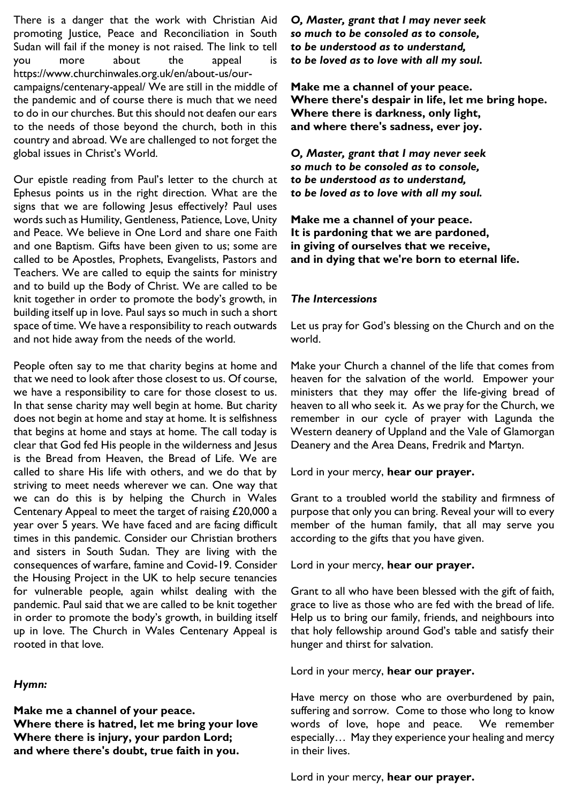There is a danger that the work with Christian Aid promoting Justice, Peace and Reconciliation in South Sudan will fail if the money is not raised. The link to tell you more about the appeal is https://www.churchinwales.org.uk/en/about-us/ourcampaigns/centenary-appeal/ We are still in the middle of the pandemic and of course there is much that we need to do in our churches. But this should not deafen our ears to the needs of those beyond the church, both in this country and abroad. We are challenged to not forget the global issues in Christ's World.

Our epistle reading from Paul's letter to the church at Ephesus points us in the right direction. What are the signs that we are following Jesus effectively? Paul uses words such as Humility, Gentleness, Patience, Love, Unity and Peace. We believe in One Lord and share one Faith and one Baptism. Gifts have been given to us; some are called to be Apostles, Prophets, Evangelists, Pastors and Teachers. We are called to equip the saints for ministry and to build up the Body of Christ. We are called to be knit together in order to promote the body's growth, in building itself up in love. Paul says so much in such a short space of time. We have a responsibility to reach outwards and not hide away from the needs of the world.

People often say to me that charity begins at home and that we need to look after those closest to us. Of course, we have a responsibility to care for those closest to us. In that sense charity may well begin at home. But charity does not begin at home and stay at home. It is selfishness that begins at home and stays at home. The call today is clear that God fed His people in the wilderness and Jesus is the Bread from Heaven, the Bread of Life. We are called to share His life with others, and we do that by striving to meet needs wherever we can. One way that we can do this is by helping the Church in Wales Centenary Appeal to meet the target of raising £20,000 a year over 5 years. We have faced and are facing difficult times in this pandemic. Consider our Christian brothers and sisters in South Sudan. They are living with the consequences of warfare, famine and Covid-19. Consider the Housing Project in the UK to help secure tenancies for vulnerable people, again whilst dealing with the pandemic. Paul said that we are called to be knit together in order to promote the body's growth, in building itself up in love. The Church in Wales Centenary Appeal is rooted in that love.

### *Hymn:*

**Make me a channel of your peace. Where there is hatred, let me bring your love Where there is injury, your pardon Lord; and where there's doubt, true faith in you.**

*O, Master, grant that I may never seek so much to be consoled as to console, to be understood as to understand, to be loved as to love with all my soul.*

**Make me a channel of your peace. Where there's despair in life, let me bring hope. Where there is darkness, only light, and where there's sadness, ever joy.**

*O, Master, grant that I may never seek so much to be consoled as to console, to be understood as to understand, to be loved as to love with all my soul.*

**Make me a channel of your peace. It is pardoning that we are pardoned, in giving of ourselves that we receive, and in dying that we're born to eternal life.**

## *The Intercessions*

Let us pray for God's blessing on the Church and on the world.

Make your Church a channel of the life that comes from heaven for the salvation of the world. Empower your ministers that they may offer the life-giving bread of heaven to all who seek it. As we pray for the Church, we remember in our cycle of prayer with Lagunda the Western deanery of Uppland and the Vale of Glamorgan Deanery and the Area Deans, Fredrik and Martyn.

Lord in your mercy, **hear our prayer.**

Grant to a troubled world the stability and firmness of purpose that only you can bring. Reveal your will to every member of the human family, that all may serve you according to the gifts that you have given.

Lord in your mercy, **hear our prayer.**

Grant to all who have been blessed with the gift of faith, grace to live as those who are fed with the bread of life. Help us to bring our family, friends, and neighbours into that holy fellowship around God's table and satisfy their hunger and thirst for salvation.

Lord in your mercy, **hear our prayer.**

Have mercy on those who are overburdened by pain, suffering and sorrow. Come to those who long to know words of love, hope and peace. We remember especially… May they experience your healing and mercy in their lives.

Lord in your mercy, **hear our prayer.**